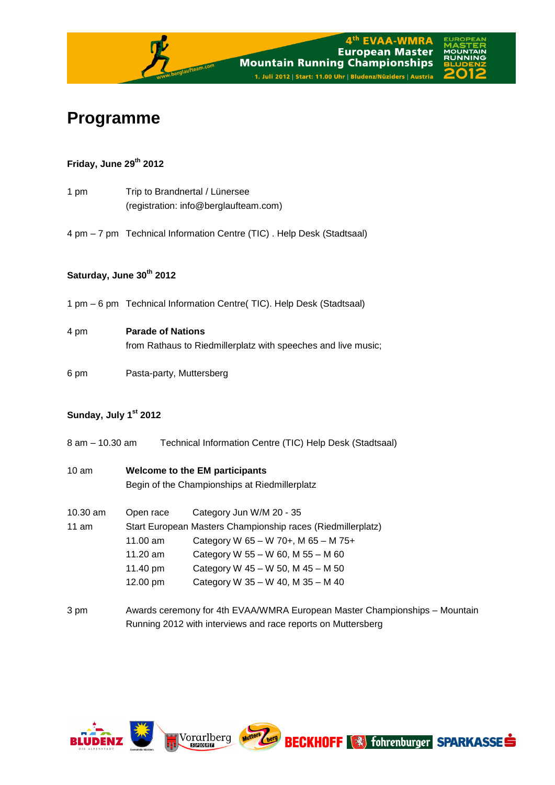

# **Programme**

# **Friday, June 29 th 2012**

- 1 pm Trip to Brandnertal / Lünersee (registration: info@berglaufteam.com)
- 4 pm 7 pm Technical Information Centre (TIC) . Help Desk (Stadtsaal)

# **Saturday, June 30th 2012**

1 pm – 6 pm Technical Information Centre( TIC). Help Desk (Stadtsaal)

### 4 pm **Parade of Nations**

from Rathaus to Riedmillerplatz with speeches and live music;

6 pm Pasta-party, Muttersberg

# **Sunday, July 1 st 2012**

- 8 am 10.30 am Technical Information Centre (TIC) Help Desk (Stadtsaal)
- 10 am **Welcome to the EM participants** Begin of the Championships at Riedmillerplatz
- 10.30 am Open race Category Jun W/M 20 35 11 am Start European Masters Championship races (Riedmillerplatz) 11.00 am Category W 65 – W 70+, M 65 – M 75+ 11.20 am Category W 55 – W 60, M 55 – M 60 11.40 pm Category W 45 – W 50, M 45 – M 50 12.00 pm Category W 35 – W 40, M 35 – M 40
- 3 pm Awards ceremony for 4th EVAA/WMRA European Master Championships Mountain Running 2012 with interviews and race reports on Muttersberg

**Exerg** 

**BECKHOFF (3)** fohrenburger **SPARKASSE** 

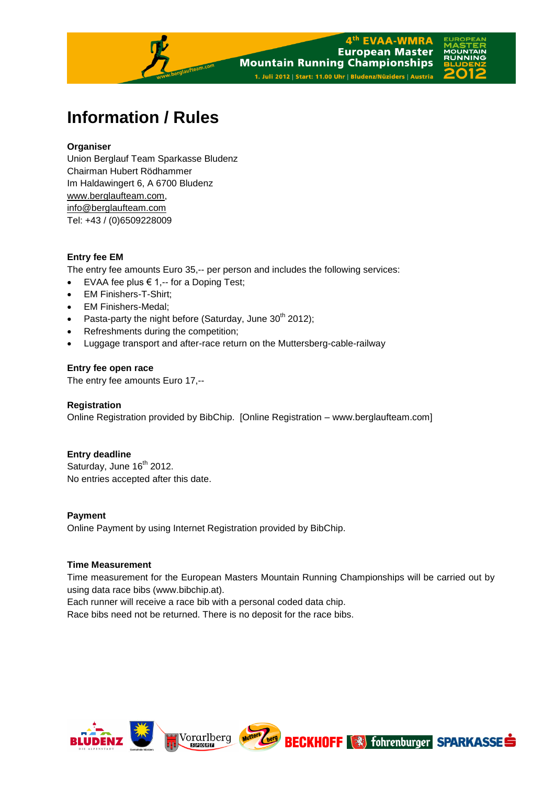

# **Information / Rules**

### **Organiser**

Union Berglauf Team Sparkasse Bludenz Chairman Hubert Rödhammer Im Haldawingert 6, A 6700 Bludenz [www.berglaufteam.com,](http://www.berglaufteam.com/) info@berglaufteam.com Tel: +43 / (0)6509228009

### **Entry fee EM**

The entry fee amounts Euro 35,-- per person and includes the following services:

- EVAA fee plus € 1,-- for a Doping Test;
- EM Finishers-T-Shirt;
- EM Finishers-Medal;
- Pasta-party the night before (Saturday, June  $30^{th}$  2012);
- Refreshments during the competition;
- Luggage transport and after-race return on the Muttersberg-cable-railway

#### **Entry fee open race**

The entry fee amounts Euro 17,--

#### **Registration**

Online Registration provided by BibChip. [Online Registration – www.berglaufteam.com]

# **Entry deadline**

Saturday, June 16<sup>th</sup> 2012. No entries accepted after this date.

# **Payment** Online Payment by using Internet Registration provided by BibChip.

#### **Time Measurement**

Time measurement for the European Masters Mountain Running Championships will be carried out by using data race bibs (www.bibchip.at).

Each runner will receive a race bib with a personal coded data chip.

Race bibs need not be returned. There is no deposit for the race bibs.

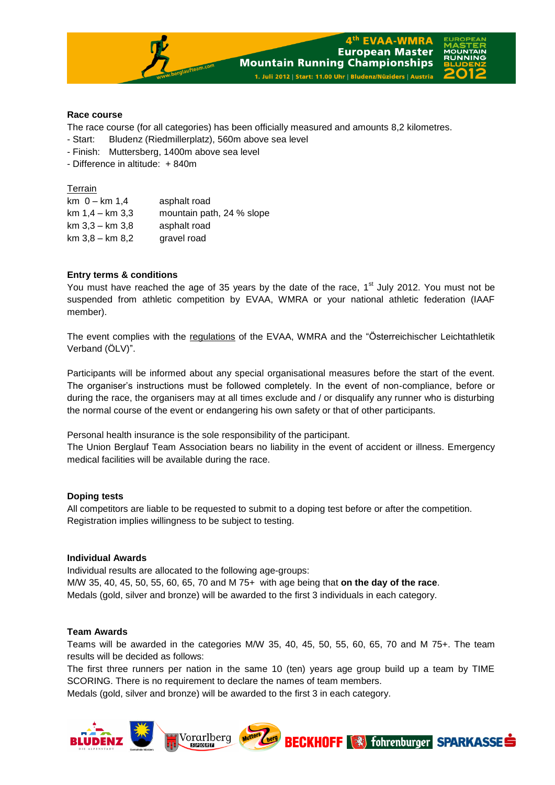

#### **Race course**

The race course (for all categories) has been officially measured and amounts 8,2 kilometres.

- Start: Bludenz (Riedmillerplatz), 560m above sea level

- Finish: Muttersberg, 1400m above sea level

- Difference in altitude: + 840m

Terrain

| $km$ 0 – $km$ 1.4   | asphalt road              |
|---------------------|---------------------------|
| $km 1.4 - km 3.3$   | mountain path, 24 % slope |
| $km$ 3.3 – $km$ 3.8 | asphalt road              |
| $km 3.8 - km 8.2$   | gravel road               |

#### **Entry terms & conditions**

You must have reached the age of 35 years by the date of the race, 1<sup>st</sup> July 2012. You must not be suspended from athletic competition by EVAA, WMRA or your national athletic federation (IAAF member).

The event complies with the regulations of the EVAA, WMRA and the "Österreichischer Leichtathletik Verband (ÖLV)".

Participants will be informed about any special organisational measures before the start of the event. The organiser's instructions must be followed completely. In the event of non-compliance, before or during the race, the organisers may at all times exclude and / or disqualify any runner who is disturbing the normal course of the event or endangering his own safety or that of other participants.

Personal health insurance is the sole responsibility of the participant.

The Union Berglauf Team Association bears no liability in the event of accident or illness. Emergency medical facilities will be available during the race.

#### **Doping tests**

All competitors are liable to be requested to submit to a doping test before or after the competition. Registration implies willingness to be subject to testing.

#### **Individual Awards**

Individual results are allocated to the following age-groups: M/W 35, 40, 45, 50, 55, 60, 65, 70 and M 75+ with age being that **on the day of the race**. Medals (gold, silver and bronze) will be awarded to the first 3 individuals in each category.

#### **Team Awards**

Teams will be awarded in the categories M/W 35, 40, 45, 50, 55, 60, 65, 70 and M 75+. The team results will be decided as follows:

The first three runners per nation in the same 10 (ten) years age group build up a team by TIME SCORING. There is no requirement to declare the names of team members.

Medals (gold, silver and bronze) will be awarded to the first 3 in each category.

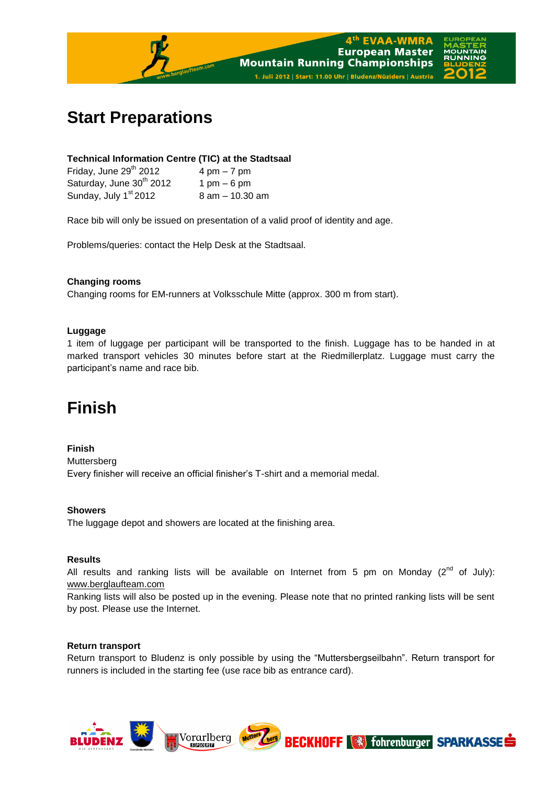

# **Start Preparations**

#### **Technical Information Centre (TIC) at the Stadtsaal**

| Friday, June 29 <sup>th</sup> 2012   | $4 \text{ pm} - 7 \text{ pm}$ |
|--------------------------------------|-------------------------------|
| Saturday, June 30 <sup>th</sup> 2012 | $1 \text{ pm} - 6 \text{ pm}$ |
| Sunday, July 1 <sup>st</sup> 2012    | 8 am - 10.30 am               |

Race bib will only be issued on presentation of a valid proof of identity and age.

Problems/queries: contact the Help Desk at the Stadtsaal.

#### **Changing rooms**

Changing rooms for EM-runners at Volksschule Mitte (approx. 300 m from start).

#### **Luggage**

1 item of luggage per participant will be transported to the finish. Luggage has to be handed in at marked transport vehicles 30 minutes before start at the Riedmillerplatz. Luggage must carry the participant's name and race bib.

# **Finish**

#### **Finish**

Muttersberg Every finisher will receive an official finisher's T-shirt and a memorial medal.

#### **Showers**

The luggage depot and showers are located at the finishing area.

#### **Results**

All results and ranking lists will be available on Internet from 5 pm on Monday  $(2^{nd}$  of July): [www.berglaufteam.com](http://www.berglaufteam.com/)

Ranking lists will also be posted up in the evening. Please note that no printed ranking lists will be sent by post. Please use the Internet.

#### **Return transport**

Return transport to Bludenz is only possible by using the "Muttersbergseilbahn". Return transport for runners is included in the starting fee (use race bib as entrance card).

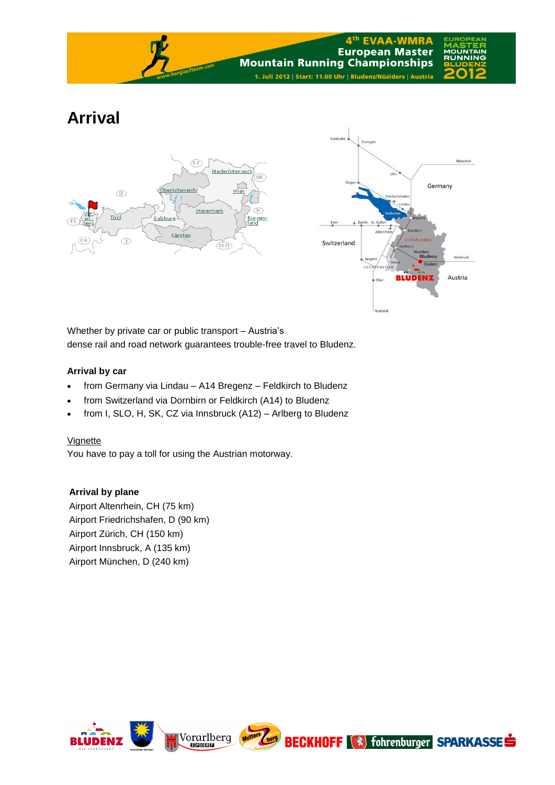

# **Arrival**





Whether by private car or public transport – Austria's dense rail and road network guarantees trouble-free travel to Bludenz.

# **Arrival by car**

- from Germany via Lindau A14 Bregenz Feldkirch to Bludenz
- from Switzerland via Dornbirn or Feldkirch (A14) to Bludenz
- from I, SLO, H, SK, CZ via Innsbruck (A12) Arlberg to Bludenz

# Vignette

You have to pay a toll for using the Austrian motorway.

# **Arrival by plane**

Airport Altenrhein, CH (75 km) Airport Friedrichshafen, D (90 km) Airport Zürich, CH (150 km) Airport Innsbruck, A (135 km) Airport München, D (240 km)



Mutters berg

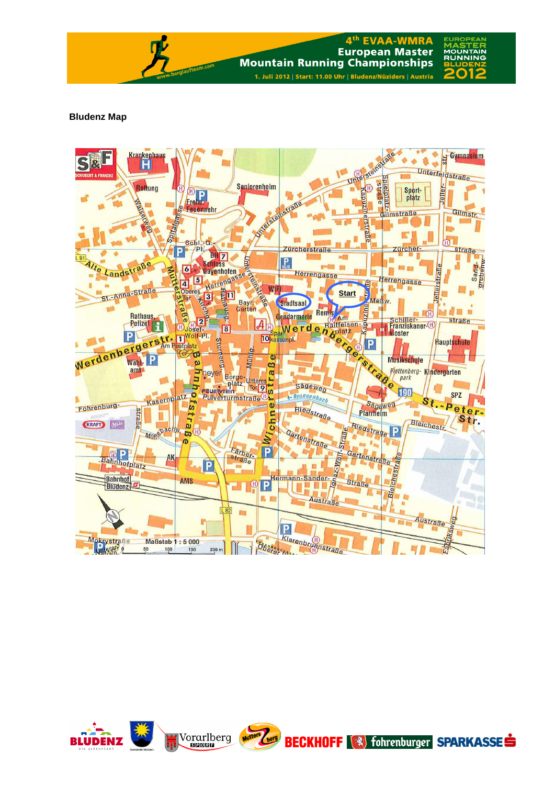

#### **Bludenz Map**